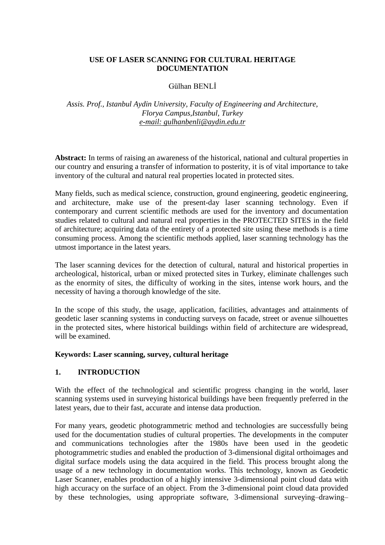## **USE OF LASER SCANNING FOR CULTURAL HERITAGE DOCUMENTATION**

#### Gülhan BENLİ

#### *Assis. Prof., Istanbul Aydin University, Faculty of Engineering and Architecture, Florya Campus,Istanbul, Turkey e-mail: gulhanbenli@aydin.edu.tr*

**Abstract:** In terms of raising an awareness of the historical, national and cultural properties in our country and ensuring a transfer of information to posterity, it is of vital importance to take inventory of the cultural and natural real properties located in protected sites.

Many fields, such as medical science, construction, ground engineering, geodetic engineering, and architecture, make use of the present-day laser scanning technology. Even if contemporary and current scientific methods are used for the inventory and documentation studies related to cultural and natural real properties in the PROTECTED SITES in the field of architecture; acquiring data of the entirety of a protected site using these methods is a time consuming process. Among the scientific methods applied, laser scanning technology has the utmost importance in the latest years.

The laser scanning devices for the detection of cultural, natural and historical properties in archeological, historical, urban or mixed protected sites in Turkey, eliminate challenges such as the enormity of sites, the difficulty of working in the sites, intense work hours, and the necessity of having a thorough knowledge of the site.

In the scope of this study, the usage, application, facilities, advantages and attainments of geodetic laser scanning systems in conducting surveys on facade, street or avenue silhouettes in the protected sites, where historical buildings within field of architecture are widespread, will be examined.

#### **Keywords: Laser scanning, survey, cultural heritage**

## **1. INTRODUCTION**

With the effect of the technological and scientific progress changing in the world, laser scanning systems used in surveying historical buildings have been frequently preferred in the latest years, due to their fast, accurate and intense data production.

For many years, geodetic photogrammetric method and technologies are successfully being used for the documentation studies of cultural properties. The developments in the computer and communications technologies after the 1980s have been used in the geodetic photogrammetric studies and enabled the production of 3-dimensional digital orthoimages and digital surface models using the data acquired in the field. This process brought along the usage of a new technology in documentation works. This technology, known as Geodetic Laser Scanner, enables production of a highly intensive 3-dimensional point cloud data with high accuracy on the surface of an object. From the 3-dimensional point cloud data provided by these technologies, using appropriate software, 3-dimensional surveying–drawing–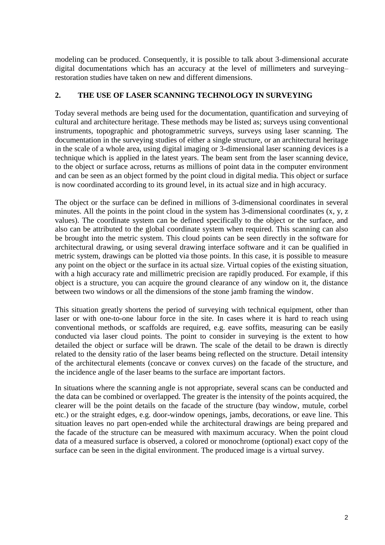modeling can be produced. Consequently, it is possible to talk about 3-dimensional accurate digital documentations which has an accuracy at the level of millimeters and surveying– restoration studies have taken on new and different dimensions.

#### **2. THE USE OF LASER SCANNING TECHNOLOGY IN SURVEYING**

Today several methods are being used for the documentation, quantification and surveying of cultural and architecture heritage. These methods may be listed as; surveys using conventional instruments, topographic and photogrammetric surveys, surveys using laser scanning. The documentation in the surveying studies of either a single structure, or an architectural heritage in the scale of a whole area, using digital imaging or 3-dimensional laser scanning devices is a technique which is applied in the latest years. The beam sent from the laser scanning device, to the object or surface across, returns as millions of point data in the computer environment and can be seen as an object formed by the point cloud in digital media. This object or surface is now coordinated according to its ground level, in its actual size and in high accuracy.

The object or the surface can be defined in millions of 3-dimensional coordinates in several minutes. All the points in the point cloud in the system has 3-dimensional coordinates (x, y, z values). The coordinate system can be defined specifically to the object or the surface, and also can be attributed to the global coordinate system when required. This scanning can also be brought into the metric system. This cloud points can be seen directly in the software for architectural drawing, or using several drawing interface software and it can be qualified in metric system, drawings can be plotted via those points. In this case, it is possible to measure any point on the object or the surface in its actual size. Virtual copies of the existing situation, with a high accuracy rate and millimetric precision are rapidly produced. For example, if this object is a structure, you can acquire the ground clearance of any window on it, the distance between two windows or all the dimensions of the stone jamb framing the window.

This situation greatly shortens the period of surveying with technical equipment, other than laser or with one-to-one labour force in the site. In cases where it is hard to reach using conventional methods, or scaffolds are required, e.g. eave soffits, measuring can be easily conducted via laser cloud points. The point to consider in surveying is the extent to how detailed the object or surface will be drawn. The scale of the detail to be drawn is directly related to the density ratio of the laser beams being reflected on the structure. Detail intensity of the architectural elements (concave or convex curves) on the facade of the structure, and the incidence angle of the laser beams to the surface are important factors.

In situations where the scanning angle is not appropriate, several scans can be conducted and the data can be combined or overlapped. The greater is the intensity of the points acquired, the clearer will be the point details on the facade of the structure (bay window, mutule, corbel etc.) or the straight edges, e.g. door-window openings, jambs, decorations, or eave line. This situation leaves no part open-ended while the architectural drawings are being prepared and the facade of the structure can be measured with maximum accuracy. When the point cloud data of a measured surface is observed, a colored or monochrome (optional) exact copy of the surface can be seen in the digital environment. The produced image is a virtual survey.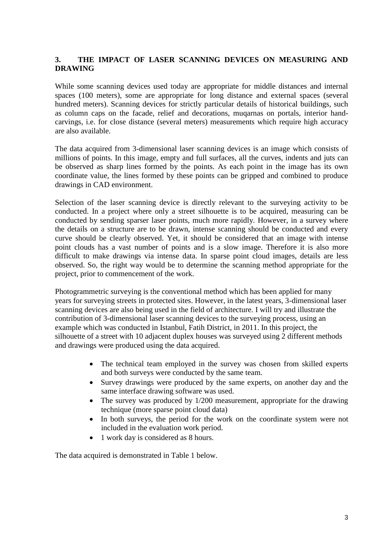# **3. THE IMPACT OF LASER SCANNING DEVICES ON MEASURING AND DRAWING**

While some scanning devices used today are appropriate for middle distances and internal spaces (100 meters), some are appropriate for long distance and external spaces (several hundred meters). Scanning devices for strictly particular details of historical buildings, such as column caps on the facade, relief and decorations, muqarnas on portals, interior handcarvings, i.e. for close distance (several meters) measurements which require high accuracy are also available.

The data acquired from 3-dimensional laser scanning devices is an image which consists of millions of points. In this image, empty and full surfaces, all the curves, indents and juts can be observed as sharp lines formed by the points. As each point in the image has its own coordinate value, the lines formed by these points can be gripped and combined to produce drawings in CAD environment.

Selection of the laser scanning device is directly relevant to the surveying activity to be conducted. In a project where only a street silhouette is to be acquired, measuring can be conducted by sending sparser laser points, much more rapidly. However, in a survey where the details on a structure are to be drawn, intense scanning should be conducted and every curve should be clearly observed. Yet, it should be considered that an image with intense point clouds has a vast number of points and is a slow image. Therefore it is also more difficult to make drawings via intense data. In sparse point cloud images, details are less observed. So, the right way would be to determine the scanning method appropriate for the project, prior to commencement of the work.

Photogrammetric surveying is the conventional method which has been applied for many years for surveying streets in protected sites. However, in the latest years, 3-dimensional laser scanning devices are also being used in the field of architecture. I will try and illustrate the contribution of 3-dimensional laser scanning devices to the surveying process, using an example which was conducted in Istanbul, Fatih District, in 2011. In this project, the silhouette of a street with 10 adjacent duplex houses was surveyed using 2 different methods and drawings were produced using the data acquired.

- The technical team employed in the survey was chosen from skilled experts and both surveys were conducted by the same team.
- Survey drawings were produced by the same experts, on another day and the same interface drawing software was used.
- The survey was produced by 1/200 measurement, appropriate for the drawing technique (more sparse point cloud data)
- In both surveys, the period for the work on the coordinate system were not included in the evaluation work period.
- 1 work day is considered as 8 hours.

The data acquired is demonstrated in Table 1 below.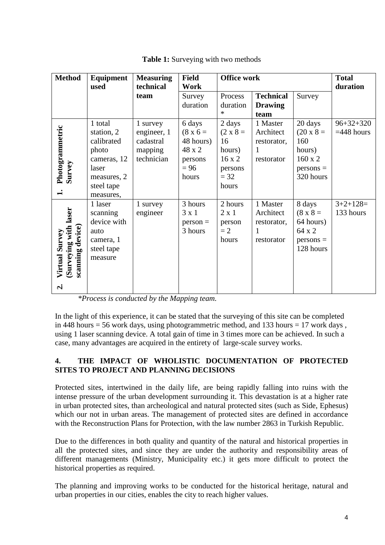| <b>Method</b>                                                                            | Equipment                                                                                                      | <b>Measuring</b>                                              | <b>Field</b>                                                                   | <b>Office work</b>                                                             |                                                         |                                                                                            | <b>Total</b>                    |
|------------------------------------------------------------------------------------------|----------------------------------------------------------------------------------------------------------------|---------------------------------------------------------------|--------------------------------------------------------------------------------|--------------------------------------------------------------------------------|---------------------------------------------------------|--------------------------------------------------------------------------------------------|---------------------------------|
|                                                                                          | used                                                                                                           | technical<br>team                                             | <b>Work</b><br>Survey<br>duration                                              | Process<br>duration<br>$\ast$                                                  | <b>Technical</b><br><b>Drawing</b><br>team              | Survey                                                                                     | duration                        |
| Photogrammetric<br>Survey<br>$\div$                                                      | 1 total<br>station, 2<br>calibrated<br>photo<br>cameras, 12<br>laser<br>measures, 2<br>steel tape<br>measures, | 1 survey<br>engineer, 1<br>cadastral<br>mapping<br>technician | 6 days<br>$(8 \times 6 =$<br>48 hours)<br>48 x 2<br>persons<br>$= 96$<br>hours | 2 days<br>$(2 \times 8)$<br>16<br>hours)<br>16x2<br>persons<br>$= 32$<br>hours | 1 Master<br>Architect<br>restorator,<br>1<br>restorator | 20 days<br>$(20 \times 8 =$<br>160<br>hours)<br>$160 \times 2$<br>$persons =$<br>320 hours | $96 + 32 + 320$<br>$=448$ hours |
| (Surveying with laser<br>scanning device)<br><b>Virtual Survey</b><br>$\dot{\mathbf{c}}$ | 1 laser<br>scanning<br>device with<br>auto<br>camera, 1<br>steel tape<br>measure                               | 1 survey<br>engineer                                          | 3 hours<br>$3 \times 1$<br>$person =$<br>3 hours                               | 2 hours<br>$2 \times 1$<br>person<br>$= 2$<br>hours                            | 1 Master<br>Architect<br>restorator,<br>1<br>restorator | 8 days<br>$(8 \times 8)$<br>64 hours)<br>64 x 2<br>$persons =$<br>128 hours                | $3+2+128=$<br>133 hours         |

**Table 1:** Surveying with two methods

*\*Process is conducted by the Mapping team.*

In the light of this experience, it can be stated that the surveying of this site can be completed in 448 hours  $= 56$  work days, using photogrammetric method, and 133 hours  $= 17$  work days, using 1 laser scanning device. A total gain of time in 3 times more can be achieved. In such a case, many advantages are acquired in the entirety of large-scale survey works.

# **4. THE IMPACT OF WHOLISTIC DOCUMENTATION OF PROTECTED SITES TO PROJECT AND PLANNING DECISIONS**

Protected sites, intertwined in the daily life, are being rapidly falling into ruins with the intense pressure of the urban development surrounding it. This devastation is at a higher rate in urban protected sites, than archeological and natural protected sites (such as Side, Ephesus) which our not in urban areas. The management of protected sites are defined in accordance with the Reconstruction Plans for Protection, with the law number 2863 in Turkish Republic.

Due to the differences in both quality and quantity of the natural and historical properties in all the protected sites, and since they are under the authority and responsibility areas of different managements (Ministry, Municipality etc.) it gets more difficult to protect the historical properties as required.

The planning and improving works to be conducted for the historical heritage, natural and urban properties in our cities, enables the city to reach higher values.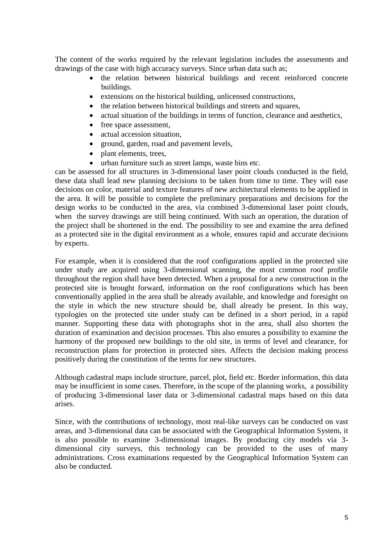The content of the works required by the relevant legislation includes the assessments and drawings of the case with high accuracy surveys. Since urban data such as;

- the relation between historical buildings and recent reinforced concrete buildings.
- extensions on the historical building, unlicensed constructions,
- the relation between historical buildings and streets and squares,
- actual situation of the buildings in terms of function, clearance and aesthetics,
- free space assessment,
- actual accession situation.
- ground, garden, road and pavement levels,
- plant elements, trees,
- urban furniture such as street lamps, waste bins etc.

can be assessed for all structures in 3-dimensional laser point clouds conducted in the field, these data shall lead new planning decisions to be taken from time to time. They will ease decisions on color, material and texture features of new architectural elements to be applied in the area. It will be possible to complete the preliminary preparations and decisions for the design works to be conducted in the area, via combined 3-dimensional laser point clouds, when the survey drawings are still being continued. With such an operation, the duration of the project shall be shortened in the end. The possibility to see and examine the area defined as a protected site in the digital environment as a whole, ensures rapid and accurate decisions by experts.

For example, when it is considered that the roof configurations applied in the protected site under study are acquired using 3-dimensional scanning, the most common roof profile throughout the region shall have been detected. When a proposal for a new construction in the protected site is brought forward, information on the roof configurations which has been conventionally applied in the area shall be already available, and knowledge and foresight on the style in which the new structure should be, shall already be present. In this way, typologies on the protected site under study can be defined in a short period, in a rapid manner. Supporting these data with photographs shot in the area, shall also shorten the duration of examination and decision processes. This also ensures a possibility to examine the harmony of the proposed new buildings to the old site, in terms of level and clearance, for reconstruction plans for protection in protected sites. Affects the decision making process positively during the constitution of the terms for new structures.

Although cadastral maps include structure, parcel, plot, field etc. Border information, this data may be insufficient in some cases. Therefore, in the scope of the planning works, a possibility of producing 3-dimensional laser data or 3-dimensional cadastral maps based on this data arises.

Since, with the contributions of technology, most real-like surveys can be conducted on vast areas, and 3-dimensional data can be associated with the Geographical Information System, it is also possible to examine 3-dimensional images. By producing city models via 3 dimensional city surveys, this technology can be provided to the uses of many administrations. Cross examinations requested by the Geographical Information System can also be conducted.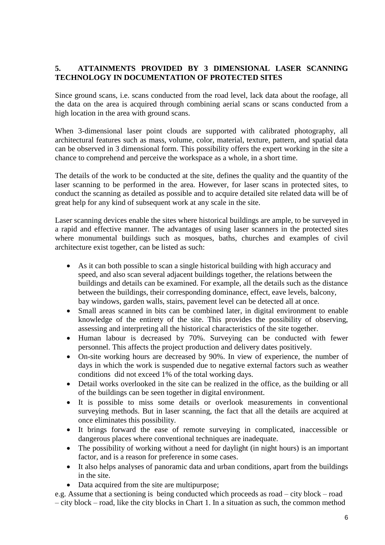# **5. ATTAINMENTS PROVIDED BY 3 DIMENSIONAL LASER SCANNING TECHNOLOGY IN DOCUMENTATION OF PROTECTED SITES**

Since ground scans, i.e. scans conducted from the road level, lack data about the roofage, all the data on the area is acquired through combining aerial scans or scans conducted from a high location in the area with ground scans.

When 3-dimensional laser point clouds are supported with calibrated photography, all architectural features such as mass, volume, color, material, texture, pattern, and spatial data can be observed in 3 dimensional form. This possibility offers the expert working in the site a chance to comprehend and perceive the workspace as a whole, in a short time.

The details of the work to be conducted at the site, defines the quality and the quantity of the laser scanning to be performed in the area. However, for laser scans in protected sites, to conduct the scanning as detailed as possible and to acquire detailed site related data will be of great help for any kind of subsequent work at any scale in the site.

Laser scanning devices enable the sites where historical buildings are ample, to be surveyed in a rapid and effective manner. The advantages of using laser scanners in the protected sites where monumental buildings such as mosques, baths, churches and examples of civil architecture exist together, can be listed as such:

- As it can both possible to scan a single historical building with high accuracy and speed, and also scan several adjacent buildings together, the relations between the buildings and details can be examined. For example, all the details such as the distance between the buildings, their corresponding dominance, effect, eave levels, balcony, bay windows, garden walls, stairs, pavement level can be detected all at once.
- Small areas scanned in bits can be combined later, in digital environment to enable knowledge of the entirety of the site. This provides the possibility of observing, assessing and interpreting all the historical characteristics of the site together.
- Human labour is decreased by 70%. Surveying can be conducted with fewer personnel. This affects the project production and delivery dates positively.
- On-site working hours are decreased by 90%. In view of experience, the number of days in which the work is suspended due to negative external factors such as weather conditions did not exceed 1% of the total working days.
- Detail works overlooked in the site can be realized in the office, as the building or all of the buildings can be seen together in digital environment.
- It is possible to miss some details or overlook measurements in conventional surveying methods. But in laser scanning, the fact that all the details are acquired at once eliminates this possibility.
- It brings forward the ease of remote surveying in complicated, inaccessible or dangerous places where conventional techniques are inadequate.
- The possibility of working without a need for daylight (in night hours) is an important factor, and is a reason for preference in some cases.
- It also helps analyses of panoramic data and urban conditions, apart from the buildings in the site.
- Data acquired from the site are multipurpose;

e.g. Assume that a sectioning is being conducted which proceeds as road – city block – road – city block – road, like the city blocks in Chart 1. In a situation as such, the common method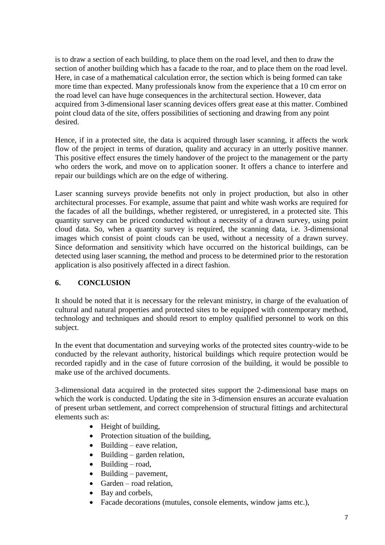is to draw a section of each building, to place them on the road level, and then to draw the section of another building which has a facade to the roar, and to place them on the road level. Here, in case of a mathematical calculation error, the section which is being formed can take more time than expected. Many professionals know from the experience that a 10 cm error on the road level can have huge consequences in the architectural section. However, data acquired from 3-dimensional laser scanning devices offers great ease at this matter. Combined point cloud data of the site, offers possibilities of sectioning and drawing from any point desired.

Hence, if in a protected site, the data is acquired through laser scanning, it affects the work flow of the project in terms of duration, quality and accuracy in an utterly positive manner. This positive effect ensures the timely handover of the project to the management or the party who orders the work, and move on to application sooner. It offers a chance to interfere and repair our buildings which are on the edge of withering.

Laser scanning surveys provide benefits not only in project production, but also in other architectural processes. For example, assume that paint and white wash works are required for the facades of all the buildings, whether registered, or unregistered, in a protected site. This quantity survey can be priced conducted without a necessity of a drawn survey, using point cloud data. So, when a quantity survey is required, the scanning data, i.e. 3-dimensional images which consist of point clouds can be used, without a necessity of a drawn survey. Since deformation and sensitivity which have occurred on the historical buildings, can be detected using laser scanning, the method and process to be determined prior to the restoration application is also positively affected in a direct fashion.

# **6. CONCLUSION**

It should be noted that it is necessary for the relevant ministry, in charge of the evaluation of cultural and natural properties and protected sites to be equipped with contemporary method, technology and techniques and should resort to employ qualified personnel to work on this subject.

In the event that documentation and surveying works of the protected sites country-wide to be conducted by the relevant authority, historical buildings which require protection would be recorded rapidly and in the case of future corrosion of the building, it would be possible to make use of the archived documents.

3-dimensional data acquired in the protected sites support the 2-dimensional base maps on which the work is conducted. Updating the site in 3-dimension ensures an accurate evaluation of present urban settlement, and correct comprehension of structural fittings and architectural elements such as:

- Height of building,
- Protection situation of the building,
- $\bullet$  Building eave relation,
- $\bullet$  Building garden relation,
- $\bullet$  Building road,
- $\bullet$  Building pavement,
- $\bullet$  Garden road relation,
- Bay and corbels,
- Facade decorations (mutules, console elements, window jams etc.),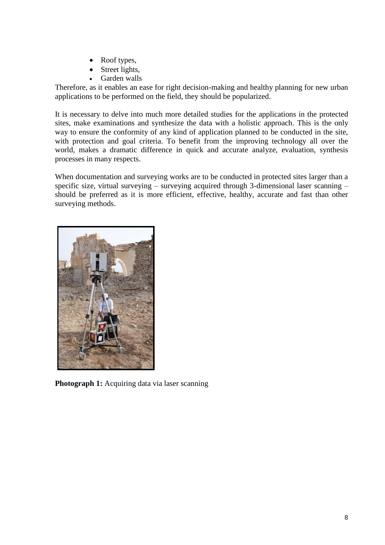- Roof types,
- Street lights,
- Garden walls

Therefore, as it enables an ease for right decision-making and healthy planning for new urban applications to be performed on the field, they should be popularized.

It is necessary to delve into much more detailed studies for the applications in the protected sites, make examinations and synthesize the data with a holistic approach. This is the only way to ensure the conformity of any kind of application planned to be conducted in the site, with protection and goal criteria. To benefit from the improving technology all over the world, makes a dramatic difference in quick and accurate analyze, evaluation, synthesis processes in many respects.

When documentation and surveying works are to be conducted in protected sites larger than a specific size, virtual surveying – surveying acquired through 3-dimensional laser scanning – should be preferred as it is more efficient, effective, healthy, accurate and fast than other surveying methods.



**Photograph 1:** Acquiring data via laser scanning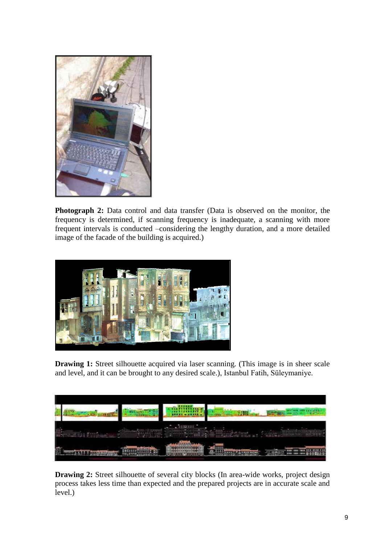

**Photograph 2:** Data control and data transfer (Data is observed on the monitor, the frequency is determined, if scanning frequency is inadequate, a scanning with more frequent intervals is conducted –considering the lengthy duration, and a more detailed image of the facade of the building is acquired.)



**Drawing 1:** Street silhouette acquired via laser scanning. (This image is in sheer scale and level, and it can be brought to any desired scale.), Istanbul Fatih, Süleymaniye.



**Drawing 2:** Street silhouette of several city blocks (In area-wide works, project design process takes less time than expected and the prepared projects are in accurate scale and level.)